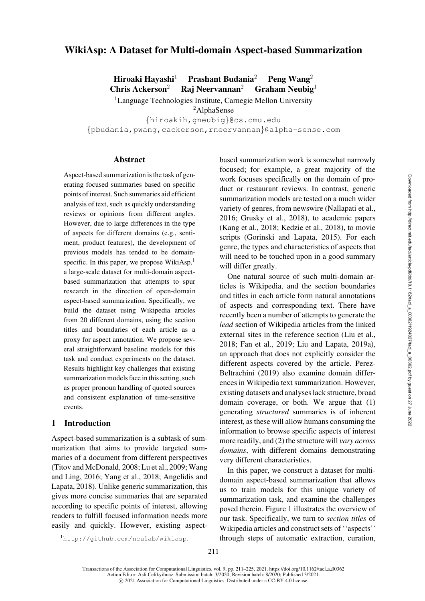# WikiAsp: A Dataset for Multi-domain Aspect-based Summarization

Hiroaki Havashi<sup>1</sup> Prashant Budania<sup>2</sup> Peng Wang<sup>2</sup> Chris Ackerson<sup>2</sup> Raj Neervannan<sup>2</sup> Graham Neubig<sup>1</sup>

<sup>1</sup>Language Technologies Institute, Carnegie Mellon University

<sup>2</sup>AlphaSense

{[hiroakih,](mailto:hiroakih@cs.cmu.edu)[gneubig](mailto:gneubig@cs.cmu.edu)}@cs.cmu.edu

{[pbudania,](mailto:pbudania@alpha-sense.com)[pwang](mailto:pwang@alpha-sense.com)[,cackerson,](mailto:cackerson@alpha-sense.com)[rneervannan](mailto:rneervannan@alpha-sense.com)}@alpha-sense.com

#### Abstract

Aspect-based summarization is the task of generating focused summaries based on specific points of interest. Such summaries aid efficient analysis of text, such as quickly understanding reviews or opinions from different angles. However, due to large differences in the type of aspects for different domains (e.g., sentiment, product features), the development of previous models has tended to be domainspecific. In this paper, we propose WikiAsp, $<sup>1</sup>$  $<sup>1</sup>$  $<sup>1</sup>$ </sup> a large-scale dataset for multi-domain aspectbased summarization that attempts to spur research in the direction of open-domain aspect-based summarization. Specifically, we build the dataset using Wikipedia articles from 20 different domains, using the section titles and boundaries of each article as a proxy for aspect annotation. We propose several straightforward baseline models for this task and conduct experiments on the dataset. Results highlight key challenges that existing summarization models face in this setting, such as proper pronoun handling of quoted sources and consistent explanation of time-sensitive events.

### 1 Introduction

Aspect-based summarization is a subtask of summarization that aims to provide targeted summaries of a document from different perspectives [\(Titov and McDonald](#page-12-0), [2008](#page-12-0); [Lu et al., 2009](#page-11-0); Wang and Ling, [2016;](#page-12-1) [Yang et al., 2018](#page-12-2); Angelidis and Lapata, [2018](#page-9-0)). Unlike generic summarization, this gives more concise summaries that are separated according to specific points of interest, allowing readers to fulfill focused information needs more easily and quickly. However, existing aspect-

based summarization work is somewhat narrowly focused; for example, a great majority of the work focuses specifically on the domain of product or restaurant reviews. In contrast, generic summarization models are tested on a much wider variety of genres, from newswire [\(Nallapati et al.,](#page-11-1) [2016;](#page-11-1) [Grusky et al.](#page-10-0), [2018\)](#page-10-0), to academic papers [\(Kang et al., 2018](#page-10-1); [Kedzie et al.](#page-10-2), [2018](#page-10-2)), to movie scripts [\(Gorinski and Lapata, 2015](#page-10-3)). For each genre, the types and characteristics of aspects that will need to be touched upon in a good summary will differ greatly.

One natural source of such multi-domain articles is Wikipedia, and the section boundaries and titles in each article form natural annotations of aspects and corresponding text. There have recently been a number of attempts to generate the *lead* section of Wikipedia articles from the linked external sites in the reference section [\(Liu et al.,](#page-11-2) [2018;](#page-11-2) [Fan et al.](#page-10-4), [2019](#page-10-4); [Liu and Lapata, 2019a](#page-11-3)), an approach that does not explicitly consider the different aspects covered by the article. Perez-Beltrachini [\(2019\)](#page-11-4) also examine domain differences in Wikipedia text summarization. However, existing datasets and analyses lack structure, broad domain coverage, or both. We argue that (1) generating *structured* summaries is of inherent interest, as these will allow humans consuming the information to browse specific aspects of interest more readily, and (2) the structure will *vary across domains*, with different domains demonstrating very different characteristics.

In this paper, we construct a dataset for multidomain aspect-based summarization that allows us to train models for this unique variety of summarization task, and examine the challenges posed therein. [Figure 1](#page-1-0) illustrates the overview of our task. Specifically, we turn to *section titles* of Wikipedia articles and construct sets of ''aspects'' through steps of automatic extraction, curation,

<span id="page-0-0"></span><sup>1</sup><http://github.com/neulab/wikiasp>.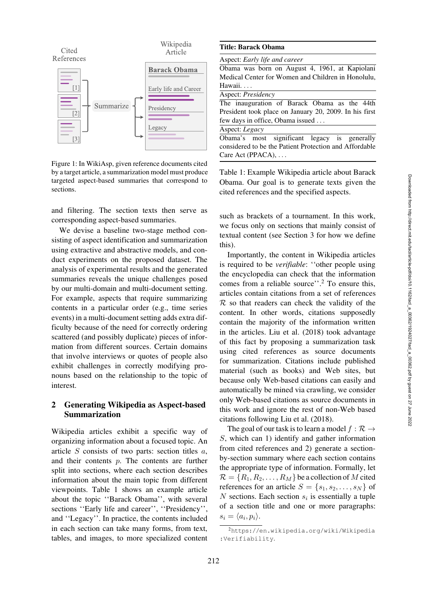

<span id="page-1-0"></span>Figure 1: In WikiAsp, given reference documents cited by a target article, a summarization model must produce targeted aspect-based summaries that correspond to sections.

and filtering. The section texts then serve as corresponding aspect-based summaries.

We devise a baseline two-stage method consisting of aspect identification and summarization using extractive and abstractive models, and conduct experiments on the proposed dataset. The analysis of experimental results and the generated summaries reveals the unique challenges posed by our multi-domain and multi-document setting. For example, aspects that require summarizing contents in a particular order (e.g., time series events) in a multi-document setting adds extra difficulty because of the need for correctly ordering scattered (and possibly duplicate) pieces of information from different sources. Certain domains that involve interviews or quotes of people also exhibit challenges in correctly modifying pronouns based on the relationship to the topic of interest.

### 2 Generating Wikipedia as Aspect-based Summarization

Wikipedia articles exhibit a specific way of organizing information about a focused topic. An article  $S$  consists of two parts: section titles  $a$ , and their contents p. The contents are further split into sections, where each section describes information about the main topic from different viewpoints. [Table 1](#page-1-1) shows an example article about the topic ''Barack Obama'', with several sections ''Early life and career'', ''Presidency'', and ''Legacy''. In practice, the contents included in each section can take many forms, from text, tables, and images, to more specialized content

|        | Aspect: Early life and career |                                  |  |                                                        |
|--------|-------------------------------|----------------------------------|--|--------------------------------------------------------|
|        |                               |                                  |  | Obama was born on August 4, 1961, at Kapiolani         |
|        |                               |                                  |  | Medical Center for Women and Children in Honolulu.     |
| Hawaii |                               |                                  |  |                                                        |
|        | Aspect: <i>Presidency</i>     |                                  |  |                                                        |
|        |                               |                                  |  | The inauguration of Barack Obama as the 44th           |
|        |                               |                                  |  | President took place on January 20, 2009. In his first |
|        |                               | few days in office, Obama issued |  |                                                        |
|        | Aspect: Legacy                |                                  |  |                                                        |
|        |                               |                                  |  | Obama's most significant legacy is generally           |
|        |                               |                                  |  | considered to be the Patient Protection and Affordable |
|        | Care Act (PPACA), $\dots$     |                                  |  |                                                        |

<span id="page-1-1"></span>Table 1: Example Wikipedia article about Barack Obama. Our goal is to generate texts given the cited references and the specified aspects.

such as brackets of a tournament. In this work, we focus only on sections that mainly consist of textual content (see [Section 3](#page-2-0) for how we define this).

Importantly, the content in Wikipedia articles is required to be *verifiable*: ''other people using the encyclopedia can check that the information comes from a reliable source''[.2](#page-1-2) To ensure this, articles contain citations from a set of references  $R$  so that readers can check the validity of the content. In other words, citations supposedly contain the majority of the information written in the articles. [Liu et al.](#page-11-2) [\(2018](#page-11-2)) took advantage of this fact by proposing a summarization task using cited references as source documents for summarization. Citations include published material (such as books) and Web sites, but because only Web-based citations can easily and automatically be mined via crawling, we consider only Web-based citations as source documents in this work and ignore the rest of non-Web based citations following [Liu et al.](#page-11-2) [\(2018\)](#page-11-2).

The goal of our task is to learn a model  $f : \mathcal{R} \rightarrow$ S, which can 1) identify and gather information from cited references and 2) generate a sectionby-section summary where each section contains the appropriate type of information. Formally, let  $\mathcal{R} = \{R_1, R_2, \ldots, R_M\}$  be a collection of M cited references for an article  $S = \{s_1, s_2, \ldots, s_N\}$  of  $N$  sections. Each section  $s_i$  is essentially a tuple of a section title and one or more paragraphs:  $s_i = \langle a_i, p_i \rangle$ .

<span id="page-1-2"></span><sup>2</sup>[https://en.wikipedia.org/wiki/Wikipedia](https://en.wikipedia.org/wiki/Wikipedia:Verifiability) [:Verifiability](https://en.wikipedia.org/wiki/Wikipedia:Verifiability).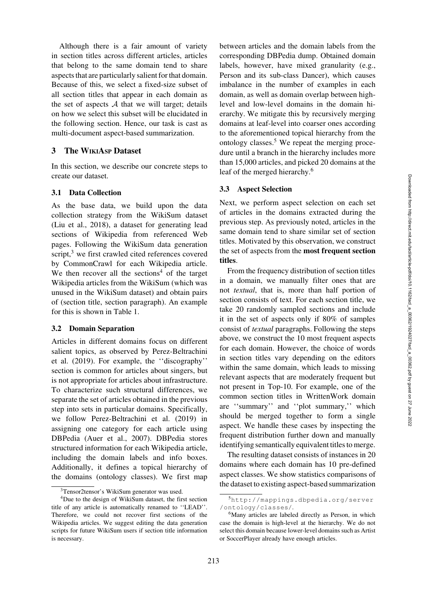Although there is a fair amount of variety in section titles across different articles, articles that belong to the same domain tend to share aspects that are particularly salient for that domain. Because of this, we select a fixed-size subset of all section titles that appear in each domain as the set of aspects  $A$  that we will target; details on how we select this subset will be elucidated in the following section. Hence, our task is cast as multi-document aspect-based summarization.

### <span id="page-2-0"></span>3 The WIKIASP Dataset

In this section, we describe our concrete steps to create our dataset.

#### 3.1 Data Collection

As the base data, we build upon the data collection strategy from the WikiSum dataset [\(Liu et al., 2018](#page-11-2)), a dataset for generating lead sections of Wikipedia from referenced Web pages. Following the WikiSum data generation script,<sup>[3](#page-2-1)</sup> we first crawled cited references covered by CommonCrawl for each Wikipedia article. We then recover all the sections<sup>[4](#page-2-2)</sup> of the target Wikipedia articles from the WikiSum (which was unused in the WikiSum dataset) and obtain pairs of (section title, section paragraph). An example for this is shown in [Table 1.](#page-1-1)

#### 3.2 Domain Separation

Articles in different domains focus on different salient topics, as observed by Perez-Beltrachini et al. [\(2019\)](#page-11-4). For example, the ''discography'' section is common for articles about singers, but is not appropriate for articles about infrastructure. To characterize such structural differences, we separate the set of articles obtained in the previous step into sets in particular domains. Specifically, we follow [Perez-Beltrachini et al.](#page-11-4) [\(2019](#page-11-4)) in assigning one category for each article using DBPedia [\(Auer et al.](#page-9-1), [2007](#page-9-1)). DBPedia stores structured information for each Wikipedia article, including the domain labels and info boxes. Additionally, it defines a topical hierarchy of the domains (ontology classes). We first map

between articles and the domain labels from the corresponding DBPedia dump. Obtained domain labels, however, have mixed granularity (e.g., Person and its sub-class Dancer), which causes imbalance in the number of examples in each domain, as well as domain overlap between highlevel and low-level domains in the domain hierarchy. We mitigate this by recursively merging domains at leaf-level into coarser ones according to the aforementioned topical hierarchy from the ontology classes.[5](#page-2-3) We repeat the merging procedure until a branch in the hierarchy includes more than 15,000 articles, and picked 20 domains at the leaf of the merged hierarchy.<sup>[6](#page-2-4)</sup>

#### 3.3 Aspect Selection

Next, we perform aspect selection on each set of articles in the domains extracted during the previous step. As previously noted, articles in the same domain tend to share similar set of section titles. Motivated by this observation, we construct the set of aspects from the most frequent section titles.

From the frequency distribution of section titles in a domain, we manually filter ones that are not *textual*, that is, more than half portion of section consists of text. For each section title, we take 20 randomly sampled sections and include it in the set of aspects only if 80% of samples consist of *textual* paragraphs. Following the steps above, we construct the 10 most frequent aspects for each domain. However, the choice of words in section titles vary depending on the editors within the same domain, which leads to missing relevant aspects that are moderately frequent but not present in Top-10. For example, one of the common section titles in WrittenWork domain are ''summary'' and ''plot summary,'' which should be merged together to form a single aspect. We handle these cases by inspecting the frequent distribution further down and manually identifying semantically equivalent titles to merge.

The resulting dataset consists of instances in 20 domains where each domain has 10 pre-defined aspect classes. We show statistics comparisons of the dataset to existing aspect-based summarization

<span id="page-2-1"></span>[<sup>3</sup>Tensor2tensor's WikiSum generator](https://github.com/tensorflow/tensor2tensor/blob/master/tensor2tensor/data_generators/wikisum/README.md) was used.

<span id="page-2-2"></span><sup>&</sup>lt;sup>4</sup>Due to the design of WikiSum dataset, the first section title of any article is automatically renamed to ''LEAD''. Therefore, we could not recover first sections of the Wikipedia articles. We suggest editing the data generation scripts for future WikiSum users if section title information is necessary.

<span id="page-2-3"></span><sup>5</sup>[http://mappings.dbpedia.org/server](http://mappings.dbpedia.org/server/ontology/classes/) [/ontology/classes/](http://mappings.dbpedia.org/server/ontology/classes/).

<span id="page-2-4"></span><sup>&</sup>lt;sup>6</sup>Many articles are labeled directly as Person, in which case the domain is high-level at the hierarchy. We do not select this domain because lower-level domains such as Artist or SoccerPlayer already have enough articles.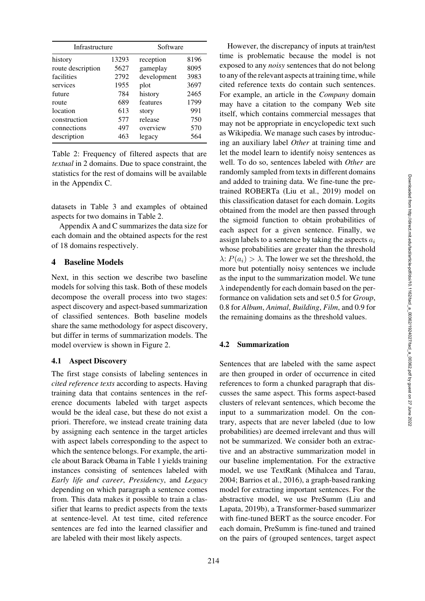| Infrastructure    |       | Software    |      |  |
|-------------------|-------|-------------|------|--|
| history           | 13293 | reception   | 8196 |  |
| route description | 5627  | gameplay    | 8095 |  |
| facilities        | 2792  | development | 3983 |  |
| services          | 1955  | plot        | 3697 |  |
| future            | 784   | history     | 2465 |  |
| route             | 689   | features    | 1799 |  |
| location          | 613   | story       | 991  |  |
| construction      | 577   | release     | 750  |  |
| connections       | 497   | overview    | 570  |  |
| description       | 463   | legacy      | 564  |  |

<span id="page-3-0"></span>Table 2: Frequency of filtered aspects that are *textual* in 2 domains. Due to space constraint, the statistics for the rest of domains will be available in the [Appendix C.](#page-13-0)

datasets in [Table 3](#page-4-0) and examples of obtained aspects for two domains in [Table 2.](#page-3-0)

[Appendix A](#page-13-1) and [C](#page-13-0) summarizes the data size for each domain and the obtained aspects for the rest of 18 domains respectively.

### 4 Baseline Models

Next, in this section we describe two baseline models for solving this task. Both of these models decompose the overall process into two stages: aspect discovery and aspect-based summarization of classified sentences. Both baseline models share the same methodology for aspect discovery, but differ in terms of summarization models. The model overview is shown in [Figure 2.](#page-4-1)

#### 4.1 Aspect Discovery

The first stage consists of labeling sentences in *cited reference texts* according to aspects. Having training data that contains sentences in the reference documents labeled with target aspects would be the ideal case, but these do not exist a priori. Therefore, we instead create training data by assigning each sentence in the target articles with aspect labels corresponding to the aspect to which the sentence belongs. For example, the article about Barack Obama in [Table 1](#page-1-1) yields training instances consisting of sentences labeled with *Early life and career*, *Presidency*, and *Legacy* depending on which paragraph a sentence comes from. This data makes it possible to train a classifier that learns to predict aspects from the texts at sentence-level. At test time, cited reference sentences are fed into the learned classifier and are labeled with their most likely aspects.

However, the discrepancy of inputs at train/test time is problematic because the model is not exposed to any *noisy* sentences that do not belong to any of the relevant aspects at training time, while cited reference texts do contain such sentences. For example, an article in the *Company* domain may have a citation to the company Web site itself, which contains commercial messages that may not be appropriate in encyclopedic text such as Wikipedia. We manage such cases by introducing an auxiliary label *Other* at training time and let the model learn to identify noisy sentences as well. To do so, sentences labeled with *Other* are randomly sampled from texts in different domains and added to training data. We fine-tune the pretrained ROBERTa [\(Liu et al., 2019\)](#page-11-5) model on this classification dataset for each domain. Logits obtained from the model are then passed through the sigmoid function to obtain probabilities of each aspect for a given sentence. Finally, we assign labels to a sentence by taking the aspects a*<sup>i</sup>* whose probabilities are greater than the threshold  $\lambda$ :  $P(a_i) > \lambda$ . The lower we set the threshold, the more but potentially noisy sentences we include as the input to the summarization model. We tune  $\lambda$  independently for each domain based on the performance on validation sets and set 0.5 for *Group*, 0.8 for *Album*, *Animal*, *Building*, *Film*, and 0.9 for the remaining domains as the threshold values.

### 4.2 Summarization

Sentences that are labeled with the same aspect are then grouped in order of occurrence in cited references to form a chunked paragraph that discusses the same aspect. This forms aspect-based clusters of relevant sentences, which become the input to a summarization model. On the contrary, aspects that are never labeled (due to low probabilities) are deemed irrelevant and thus will not be summarized. We consider both an extractive and an abstractive summarization model in our baseline implementation. For the extractive model, we use TextRank [\(Mihalcea and Tarau](#page-11-6), [2004;](#page-11-6) [Barrios et al., 2016](#page-10-5)), a graph-based ranking model for extracting important sentences. For the abstra[ctive model, we use PreSumm \(](#page-11-7)Liu and Lapata, [2019b](#page-11-7)), a Transformer-based summarizer with fine-tuned BERT as the source encoder. For each domain, PreSumm is fine-tuned and trained on the pairs of (grouped sentences, target aspect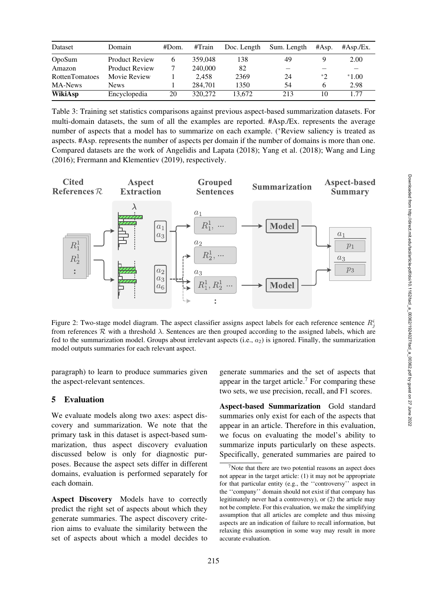| Dataset               | Domain                | #Dom. | #Train  | Doc. Length | Sum. Length                     | #Asp. | $\#Asp.Ex.$ |
|-----------------------|-----------------------|-------|---------|-------------|---------------------------------|-------|-------------|
| OpoSum                | <b>Product Review</b> | 6     | 359,048 | 138         | 49                              |       | 2.00        |
| Amazon                | <b>Product Review</b> |       | 240,000 | 82          | $\hspace{0.1mm}-\hspace{0.1mm}$ |       |             |
| <b>RottenTomatoes</b> | Movie Review          |       | 2.458   | 2369        | 24                              | $*$   | $*1.00$     |
| MA-News               | <b>News</b>           |       | 284.701 | 1350        | 54                              | h     | 2.98        |
| WikiAsp               | Encyclopedia          | 20    | 320,272 | 13.672      | 213                             | 10    | 1.77        |

<span id="page-4-0"></span>Table 3: Training set statistics comparisons against previous aspect-based summarization datasets. For multi-domain datasets, the sum of all the examples are reported. #Asp./Ex. represents the average number of aspects that a model has to summarize on each example. (∗Review saliency is treated as aspects. #Asp. represents the number of aspects per domain if the number of domains is more than one. Compared datasets are the work of [Angelidis and Lapata](#page-9-0) [\(2018](#page-9-0)); [Yang et al.](#page-12-2) [\(2018](#page-12-2)); [Wang and Ling](#page-12-1) [\(2016](#page-12-1)); [Frermann and Klementiev](#page-10-6) [\(2019\)](#page-10-6), respectively.



<span id="page-4-1"></span>Figure 2: Two-stage model diagram. The aspect classifier assigns aspect labels for each reference sentence  $R_j^i$ from references  $R$  with a threshold  $\lambda$ . Sentences are then grouped according to the assigned labels, which are fed to the summarization model. Groups about irrelevant aspects (i.e.,  $a_2$ ) is ignored. Finally, the summarization model outputs summaries for each relevant aspect.

paragraph) to learn to produce summaries given the aspect-relevant sentences.

# 5 Evaluation

We evaluate models along two axes: aspect discovery and summarization. We note that the primary task in this dataset is aspect-based summarization, thus aspect discovery evaluation discussed below is only for diagnostic purposes. Because the aspect sets differ in different domains, evaluation is performed separately for each domain.

Aspect Discovery Models have to correctly predict the right set of aspects about which they generate summaries. The aspect discovery criterion aims to evaluate the similarity between the set of aspects about which a model decides to

generate summaries and the set of aspects that appear in the target article.<sup>7</sup> For comparing these two sets, we use precision, recall, and F1 scores.

Aspect-based Summarization Gold standard summaries only exist for each of the aspects that appear in an article. Therefore in this evaluation, we focus on evaluating the model's ability to summarize inputs particularly on these aspects. Specifically, generated summaries are paired to

<span id="page-4-2"></span><sup>&</sup>lt;sup>7</sup>Note that there are two potential reasons an aspect does not appear in the target article: (1) it may not be appropriate for that particular entity (e.g., the ''controversy'' aspect in the ''company'' domain should not exist if that company has legitimately never had a controversy), or (2) the article may not be complete. For this evaluation, we make the simplifying assumption that all articles are complete and thus missing aspects are an indication of failure to recall information, but relaxing this assumption in some way may result in more accurate evaluation.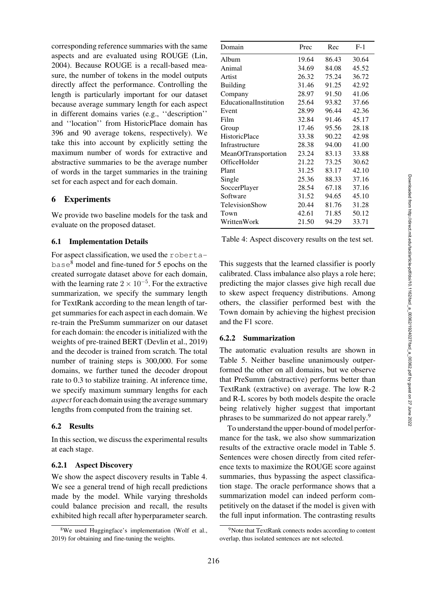corresponding reference summaries with the same aspects and are evaluated using ROUGE [\(Lin,](#page-11-8) [2004](#page-11-8)). Because ROUGE is a recall-based measure, the number of tokens in the model outputs directly affect the performance. Controlling the length is particularly important for our dataset because average summary length for each aspect in different domains varies (e.g., ''description'' and ''location'' from HistoricPlace domain has 396 and 90 average tokens, respectively). We take this into account by explicitly setting the maximum number of words for extractive and abstractive summaries to be the average number of words in the target summaries in the training set for each aspect and for each domain.

# 6 Experiments

We provide two baseline models for the task and evaluate on the proposed dataset.

### 6.1 Implementation Details

For aspect classification, we used the roberta- $base<sup>8</sup>$  $base<sup>8</sup>$  $base<sup>8</sup>$  model and fine-tuned for 5 epochs on the created surrogate dataset above for each domain, with the learning rate  $2 \times 10^{-5}$ . For the extractive summarization, we specify the summary length for TextRank according to the mean length of target summaries for each aspect in each domain. We re-train the PreSumm summarizer on our dataset for each domain: the encoder is initialized with the weights of pre-trained BERT [\(Devlin et al.](#page-10-7), [2019\)](#page-10-7) and the decoder is trained from scratch. The total number of training steps is 300,000. For some domains, we further tuned the decoder dropout rate to 0.3 to stabilize training. At inference time, we specify maximum summary lengths for each *aspect*for each domain using the average summary lengths from computed from the training set.

### 6.2 Results

In this section, we discuss the experimental results at each stage.

### 6.2.1 Aspect Discovery

We show the aspect discovery results in [Table 4.](#page-5-1) We see a general trend of high recall predictions made by the model. While varying thresholds could balance precision and recall, the results exhibited high recall after hyperparameter search.

| Domain                 | Prec  | Rec   | $F-1$ |
|------------------------|-------|-------|-------|
| Album                  | 19.64 | 86.43 | 30.64 |
| Animal                 | 34.69 | 84.08 | 45.52 |
| Artist                 | 26.32 | 75.24 | 36.72 |
| <b>Building</b>        | 31.46 | 91.25 | 42.92 |
| Company                | 28.97 | 91.50 | 41.06 |
| EducationalInstitution | 25.64 | 93.82 | 37.66 |
| Event                  | 28.99 | 96.44 | 42.36 |
| Film                   | 32.84 | 91.46 | 45.17 |
| Group                  | 17.46 | 95.56 | 28.18 |
| <b>HistoricPlace</b>   | 33.38 | 90.22 | 42.98 |
| Infrastructure         | 28.38 | 94.00 | 41.00 |
| MeanOfTransportation   | 23.24 | 83.13 | 33.88 |
| OfficeHolder           | 21.22 | 73.25 | 30.62 |
| Plant                  | 31.25 | 83.17 | 42.10 |
| Single                 | 25.36 | 88.33 | 37.16 |
| SoccerPlayer           | 28.54 | 67.18 | 37.16 |
| Software               | 31.52 | 94.65 | 45.10 |
| TelevisionShow         | 20.44 | 81.76 | 31.28 |
| Town                   | 42.61 | 71.85 | 50.12 |
| WrittenWork            | 21.50 | 94.29 | 33.71 |

<span id="page-5-1"></span>Table 4: Aspect discovery results on the test set.

This suggests that the learned classifier is poorly calibrated. Class imbalance also plays a role here; predicting the major classes give high recall due to skew aspect frequency distributions. Among others, the classifier performed best with the Town domain by achieving the highest precision and the F1 score.

### 6.2.2 Summarization

The automatic evaluation results are shown in [Table 5.](#page-6-0) Neither baseline unanimously outperformed the other on all domains, but we observe that PreSumm (abstractive) performs better than TextRank (extractive) on average. The low R-2 and R-L scores by both models despite the oracle being relatively higher suggest that important phrases to be summarized do not appear rarely.<sup>9</sup>

To understand the upper-bound of model performance for the task, we also show summarization results of the extractive oracle model in [Table 5.](#page-6-0) Sentences were chosen directly from cited reference texts to maximize the ROUGE score against summaries, thus bypassing the aspect classification stage. The oracle performance shows that a summarization model can indeed perform competitively on the dataset if the model is given with the full input information. The contrasting results

<span id="page-5-0"></span><sup>8</sup>We used Huggingface's implementation [\(Wolf et al.](#page-12-3), [2019\)](#page-12-3) for obtaining and fine-tuning the weights.

<span id="page-5-2"></span><sup>&</sup>lt;sup>9</sup>Note that TextRank connects nodes according to content overlap, thus isolated sentences are not selected.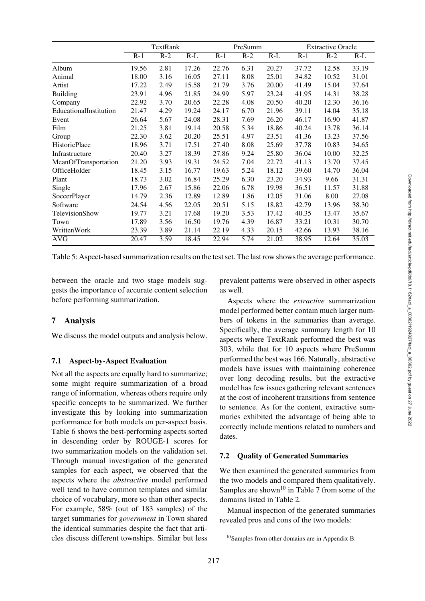| ut 1.          | 1\-4 | n-r   | 17-T                                                                                                     | 17-7  | n-L                                                                                                                                           |
|----------------|------|-------|----------------------------------------------------------------------------------------------------------|-------|-----------------------------------------------------------------------------------------------------------------------------------------------|
| 2.76           | 6.31 | 20.27 | 37.72                                                                                                    | 12.58 | 33.19                                                                                                                                         |
| $^{\prime}.11$ | 8.08 | 25.01 | 34.82                                                                                                    | 10.52 | 31.01                                                                                                                                         |
| .79            | 3.76 | 20.00 | 41.49                                                                                                    | 15.04 | 37.64                                                                                                                                         |
| 99.ا           | 5.97 | 23.24 | 41.95                                                                                                    | 14.31 | 38.28                                                                                                                                         |
| 2.28           | 4.08 | 20.50 | 40.20                                                                                                    | 12.30 | 36.16                                                                                                                                         |
| l. 17          | 6.70 | 21.96 | 39.11                                                                                                    | 14.04 | 35.18                                                                                                                                         |
| 3.31           | 7.69 | 26.20 | 46.17                                                                                                    | 16.90 | 41.87                                                                                                                                         |
| 1.58           | 5.34 | 18.86 | 40.24                                                                                                    | 13.78 | 36.14                                                                                                                                         |
| 5.51           | 4.97 | 23.51 | 41.36                                                                                                    | 13.23 | 37.56                                                                                                                                         |
| 40'            | 8.08 | 25.69 | 37.78                                                                                                    | 10.83 | 34.65                                                                                                                                         |
| '.86           | 9.24 | 25.80 | 36.04                                                                                                    | 10.00 | 32.25                                                                                                                                         |
| .52            | 7.04 | 22.72 | 41.13                                                                                                    | 13.70 | 37.45                                                                                                                                         |
| 0.63           | 5.24 | 18.12 | 39.60                                                                                                    | 14.70 | 36.04                                                                                                                                         |
| 5.29           | 6.30 | 23.20 | 34.93                                                                                                    | 9.66  | 31.31                                                                                                                                         |
| .06            | 6.78 | 19.98 | 36.51                                                                                                    | 11.57 | 31.88                                                                                                                                         |
| .89            | 1.86 | 12.05 | 31.06                                                                                                    | 8.00  | 27.08                                                                                                                                         |
| .51            | 5.15 | 18.82 | 42.79                                                                                                    | 13.96 | 38.30                                                                                                                                         |
| 20             | 3.53 | 17.42 | 40.35                                                                                                    | 13.47 | 35.67                                                                                                                                         |
| .76            | 4.39 | 16.87 | 33.21                                                                                                    | 10.31 | 30.70                                                                                                                                         |
| 2.19           | 4.33 | 20.15 | 42.66                                                                                                    | 13.93 | 38.16                                                                                                                                         |
| .94            | 5.74 | 21.02 | 38.95                                                                                                    | 12.64 | 35.03                                                                                                                                         |
|                |      |       | st set. The last row shows the average performance.<br>prevalent patterns were observed in other aspects |       |                                                                                                                                               |
| as well.       |      |       |                                                                                                          |       |                                                                                                                                               |
|                |      |       |                                                                                                          |       | Aspects where the extractive summarization<br>model performed better contain much larger num-<br>hers of tokens in the summaries than average |

|                        | $R-1$ | $R-2$ | $R-L$ | $R-1$ | $R-2$ | $R-L$ | $R-1$ | $R-2$ | $R-L$ |
|------------------------|-------|-------|-------|-------|-------|-------|-------|-------|-------|
| Album                  | 19.56 | 2.81  | 17.26 | 22.76 | 6.31  | 20.27 | 37.72 | 12.58 | 33.19 |
| Animal                 | 18.00 | 3.16  | 16.05 | 27.11 | 8.08  | 25.01 | 34.82 | 10.52 | 31.01 |
| Artist                 | 17.22 | 2.49  | 15.58 | 21.79 | 3.76  | 20.00 | 41.49 | 15.04 | 37.64 |
| Building               | 23.91 | 4.96  | 21.85 | 24.99 | 5.97  | 23.24 | 41.95 | 14.31 | 38.28 |
| Company                | 22.92 | 3.70  | 20.65 | 22.28 | 4.08  | 20.50 | 40.20 | 12.30 | 36.16 |
| EducationalInstitution | 21.47 | 4.29  | 19.24 | 24.17 | 6.70  | 21.96 | 39.11 | 14.04 | 35.18 |
| Event                  | 26.64 | 5.67  | 24.08 | 28.31 | 7.69  | 26.20 | 46.17 | 16.90 | 41.87 |
| Film                   | 21.25 | 3.81  | 19.14 | 20.58 | 5.34  | 18.86 | 40.24 | 13.78 | 36.14 |
| Group                  | 22.30 | 3.62  | 20.20 | 25.51 | 4.97  | 23.51 | 41.36 | 13.23 | 37.56 |
| HistoricPlace          | 18.96 | 3.71  | 17.51 | 27.40 | 8.08  | 25.69 | 37.78 | 10.83 | 34.65 |
| Infrastructure         | 20.40 | 3.27  | 18.39 | 27.86 | 9.24  | 25.80 | 36.04 | 10.00 | 32.25 |
| MeanOfTransportation   | 21.20 | 3.93  | 19.31 | 24.52 | 7.04  | 22.72 | 41.13 | 13.70 | 37.45 |
| OfficeHolder           | 18.45 | 3.15  | 16.77 | 19.63 | 5.24  | 18.12 | 39.60 | 14.70 | 36.04 |
| Plant                  | 18.73 | 3.02  | 16.84 | 25.29 | 6.30  | 23.20 | 34.93 | 9.66  | 31.31 |
| Single                 | 17.96 | 2.67  | 15.86 | 22.06 | 6.78  | 19.98 | 36.51 | 11.57 | 31.88 |
| <b>SoccerPlayer</b>    | 14.79 | 2.36  | 12.89 | 12.89 | 1.86  | 12.05 | 31.06 | 8.00  | 27.08 |
| Software               | 24.54 | 4.56  | 22.05 | 20.51 | 5.15  | 18.82 | 42.79 | 13.96 | 38.30 |
| TelevisionShow         | 19.77 | 3.21  | 17.68 | 19.20 | 3.53  | 17.42 | 40.35 | 13.47 | 35.67 |
| Town                   | 17.89 | 3.56  | 16.50 | 19.76 | 4.39  | 16.87 | 33.21 | 10.31 | 30.70 |
| WrittenWork            | 23.39 | 3.89  | 21.14 | 22.19 | 4.33  | 20.15 | 42.66 | 13.93 | 38.16 |
| <b>AVG</b>             | 20.47 | 3.59  | 18.45 | 22.94 | 5.74  | 21.02 | 38.95 | 12.64 | 35.03 |
|                        |       |       |       |       |       |       |       |       |       |

TextRank PreSumm Extractive Oracle

<span id="page-6-0"></span>Table 5: Aspect-based summarization results on the test set.

between the oracle and two stage models suggests the importance of accurate content selection before performing summarization.

# 7 Analysis

We discuss the model outputs and analysis below.

# 7.1 Aspect-by-Aspect Evaluation

Not all the aspects are equally hard to summarize; some might require summarization of a broad range of information, whereas others require only specific concepts to be summarized. We further investigate this by looking into summarization performance for both models on per-aspect basis. [Table 6](#page-7-0) shows the best-performing aspects sorted in descending order by ROUGE-1 scores for two summarization models on the validation set. Through manual investigation of the generated samples for each aspect, we observed that the aspects where the *abstractive* model performed well tend to have common templates and similar choice of vocabulary, more so than other aspects. For example, 58% (out of 183 samples) of the target summaries for *government* in Town shared the identical summaries despite the fact that articles discuss different townships. Similar but less

Aspects where the *extractive* summarization model performed better contain much larger numbers of tokens in the summaries than average. Specifically, the average summary length for 10 aspects where TextRank performed the best was 303, while that for 10 aspects where PreSumm performed the best was 166. Naturally, abstractive models have issues with maintaining coherence over long decoding results, but the extractive model has few issues gathering relevant sentences at the cost of incoherent transitions from sentence to sentence. As for the content, extractive summaries exhibited the advantage of being able to correctly include mentions related to numbers and

# 7.2 Quality of Generated Summaries

We then examined the generated summaries from the two models and compared them qualitatively. Samples are shown<sup>10</sup> in [Table 7](#page-8-0) from some of the domains listed in [Table 2.](#page-3-0)

Manual inspection of the generated summaries revealed pros and cons of the two models:

dates.

<span id="page-6-1"></span><sup>10</sup>Samples from other domains are in [Appendix B.](#page-13-2)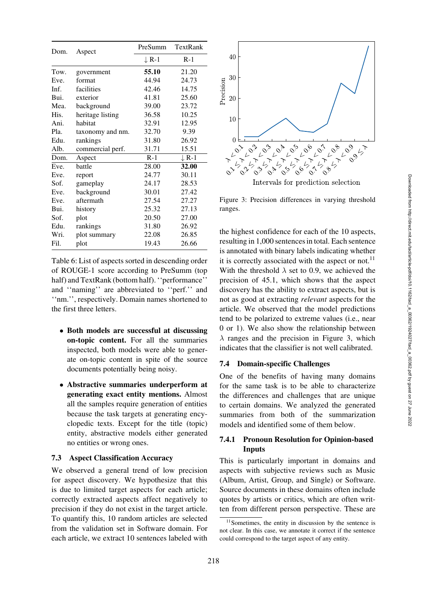| Dom. | Aspect           | PreSumm | TextRank         |
|------|------------------|---------|------------------|
|      |                  | ↓R-1    | $R-1$            |
| Tow. | government       | 55.10   | 21.20            |
| Eve. | format           | 44.94   | 24.73            |
| Inf. | facilities       | 42.46   | 14.75            |
| Bui. | exterior         | 41.81   | 25.60            |
| Mea. | background       | 39.00   | 23.72            |
| His. | heritage listing | 36.58   | 10.25            |
| Ani. | habitat          | 32.91   | 12.95            |
| Pla. | taxonomy and nm. | 32.70   | 9.39             |
| Edu. | rankings         | 31.80   | 26.92            |
| Alb. | commercial perf. | 31.71   | 15.51            |
| Dom. | Aspect           | $R-1$   | $\downarrow$ R-1 |
| Eve. | battle           | 28.00   | 32.00            |
| Eve. | report           | 24.77   | 30.11            |
| Sof. | gameplay         | 24.17   | 28.53            |
| Eve. | background       | 30.01   | 27.42            |
| Eve. | aftermath        | 27.54   | 27.27            |
| Bui. | history          | 25.32   | 27.13            |
| Sof. | plot             | 20.50   | 27.00            |
| Edu. | rankings         | 31.80   | 26.92            |
| Wri. | plot summary     | 22.08   | 26.85            |
| Fil. | plot             | 19.43   | 26.66            |

<span id="page-7-0"></span>Table 6: List of aspects sorted in descending order of ROUGE-1 score according to PreSumm (top half) and TextRank (bottom half). "performance" and ''naming'' are abbreviated to ''perf.'' and ''nm.'', respectively. Domain names shortened to the first three letters.

- Both models are successful at discussing on-topic content. For all the summaries inspected, both models were able to generate on-topic content in spite of the source documents potentially being noisy.
- Abstractive summaries underperform at generating exact entity mentions. Almost all the samples require generation of entities because the task targets at generating encyclopedic texts. Except for the title (topic) entity, abstractive models either generated no entities or wrong ones.

### 7.3 Aspect Classification Accuracy

We observed a general trend of low precision for aspect discovery. We hypothesize that this is due to limited target aspects for each article; correctly extracted aspects affect negatively to precision if they do not exist in the target article. To quantify this, 10 random articles are selected from the validation set in Software domain. For each article, we extract 10 sentences labeled with



<span id="page-7-2"></span>Intervals for prediction selection

Figure 3: Precision differences in varying threshold ranges.

the highest confidence for each of the 10 aspects, resulting in 1,000 sentences in total. Each sentence is annotated with binary labels indicating whether it is correctly associated with the aspect or not.<sup>11</sup> With the threshold  $\lambda$  set to 0.9, we achieved the precision of 45.1, which shows that the aspect discovery has the ability to extract aspects, but is not as good at extracting *relevant* aspects for the article. We observed that the model predictions tend to be polarized to extreme values (i.e., near 0 or 1). We also show the relationship between  $\lambda$  ranges and the precision in [Figure 3,](#page-7-2) which indicates that the classifier is not well calibrated.

### 7.4 Domain-specific Challenges

One of the benefits of having many domains for the same task is to be able to characterize the differences and challenges that are unique to certain domains. We analyzed the generated summaries from both of the summarization models and identified some of them below.

### 7.4.1 Pronoun Resolution for Opinion-based Inputs

This is particularly important in domains and aspects with subjective reviews such as Music (Album, Artist, Group, and Single) or Software. Source documents in these domains often include quotes by artists or critics, which are often written from different person perspective. These are

<span id="page-7-1"></span><sup>&</sup>lt;sup>11</sup>Sometimes, the entity in discussion by the sentence is not clear. In this case, we annotate it correct if the sentence could correspond to the target aspect of any entity.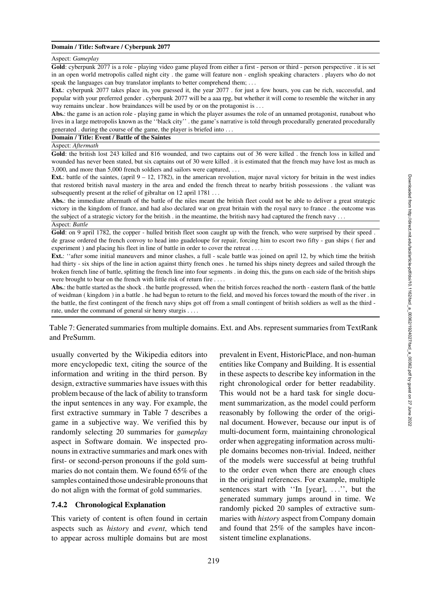#### Domain / Title: Software / Cyberpunk 2077

#### Aspect: *Gameplay*

Gold: cyberpunk 2077 is a role - playing video game played from either a first - person or third - person perspective . it is set in an open world metropolis called night city . the game will feature non - english speaking characters . players who do not speak the languages can buy translator implants to better comprehend them; *...*

Ext.: cyberpunk 2077 takes place in, you guessed it, the year 2077 . for just a few hours, you can be rich, successful, and popular with your preferred gender . cyberpunk 2077 will be a aaa rpg, but whether it will come to resemble the witcher in any way remains unclear . how braindances will be used by or on the protagonist is *...*

Abs.: the game is an action role - playing game in which the player assumes the role of an unnamed protagonist, runabout who lives in a large metropolis known as the ''black city'' . the game's narrative is told through procedurally generated procedurally generated . during the course of the game, the player is briefed into *...*

Domain / Title: Event / Battle of the Saintes

Aspect: *Aftermath*

Gold: the british lost 243 killed and 816 wounded, and two captains out of 36 were killed . the french loss in killed and wounded has never been stated, but six captains out of 30 were killed . it is estimated that the french may have lost as much as 3,000, and more than 5,000 french soldiers and sailors were captured, *...*

Ext.: battle of the saintes, (april  $9 - 12$ , 1782), in the american revolution, major naval victory for britain in the west indies that restored british naval mastery in the area and ended the french threat to nearby british possessions . the valiant was subsequently present at the relief of gibraltar on 12 april 1781 *...*

Abs.: the immediate aftermath of the battle of the niles meant the british fleet could not be able to deliver a great strategic victory in the kingdom of france, and had also declared war on great britain with the royal navy to france . the outcome was the subject of a strategic victory for the british . in the meantime, the british navy had captured the french navy *...* Aspect: *Battle*

Gold: on 9 april 1782, the copper - hulled british fleet soon caught up with the french, who were surprised by their speed. de grasse ordered the french convoy to head into guadeloupe for repair, forcing him to escort two fifty - gun ships ( fier and experiment ) and placing his fleet in line of battle in order to cover the retreat . *...*

Ext.: "after some initial maneuvers and minor clashes, a full - scale battle was joined on april 12, by which time the british had thirty - six ships of the line in action against thirty french ones . he turned his ships ninety degrees and sailed through the broken french line of battle, splitting the french line into four segments . in doing this, the guns on each side of the british ships were brought to bear on the french with little risk of return fire . *...*

Abs.: the battle started as the shock . the battle progressed, when the british forces reached the north - eastern flank of the battle of weidman ( kingdom ) in a battle . he had begun to return to the field, and moved his forces toward the mouth of the river . in the battle, the first contingent of the french navy ships got off from a small contingent of british soldiers as well as the third rate, under the command of general sir henry sturgis . *...*

<span id="page-8-0"></span>Table 7: Generated summaries from multiple domains. Ext. and Abs. represent summaries from TextRank and PreSumm.

usually converted by the Wikipedia editors into more encyclopedic text, citing the source of the information and writing in the third person. By design, extractive summaries have issues with this problem because of the lack of ability to transform the input sentences in any way. For example, the first extractive summary in [Table 7](#page-8-0) describes a game in a subjective way. We verified this by randomly selecting 20 summaries for *gameplay* aspect in Software domain. We inspected pronouns in extractive summaries and mark ones with first- or second-person pronouns if the gold summaries do not contain them. We found 65% of the samples contained those undesirable pronouns that do not align with the format of gold summaries.

#### 7.4.2 Chronological Explanation

This variety of content is often found in certain aspects such as *history* and *event*, which tend to appear across multiple domains but are most

prevalent in Event, HistoricPlace, and non-human entities like Company and Building. It is essential in these aspects to describe key information in the right chronological order for better readability. This would not be a hard task for single document summarization, as the model could perform reasonably by following the order of the original document. However, because our input is of multi-document form, maintaining chronological order when aggregating information across multiple domains becomes non-trivial. Indeed, neither of the models were successful at being truthful to the order even when there are enough clues in the original references. For example, multiple sentences start with ''In [year], ...'', but the generated summary jumps around in time. We randomly picked 20 samples of extractive summaries with *history* aspect from Company domain and found that 25% of the samples have inconsistent timeline explanations.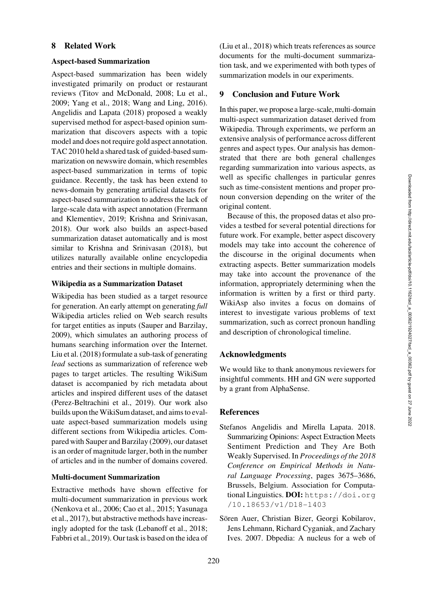### 8 Related Work

#### Aspect-based Summarization

Aspect-based summarization has been widely investigated primarily on product or restaurant reviews [\(Titov and McDonald, 2008](#page-12-0); [Lu et al.,](#page-11-0) [2009](#page-11-0); [Yang et al.](#page-12-2), [2018;](#page-12-2) [Wang and Ling, 2016](#page-12-1)). [Angelidis and Lapata](#page-9-0) [\(2018](#page-9-0)) proposed a weakly supervised method for aspect-based opinion summarization that discovers aspects with a topic model and does not require gold aspect annotation. TAC 2010 held a shared task of guided-based summarization on newswire domain, which resembles aspect-based summarization in terms of topic guidance. Recently, the task has been extend to news-domain by generating artificial datasets for aspect-based summarization to address the lack of large-scale data with aspect annotation (Frermann and Klementiev, [2019;](#page-10-6) [Krishna and Srinivasan,](#page-10-8) [2018](#page-10-8)). Our work also builds an aspect-based summarization dataset automatically and is most similar to [Krishna and Srinivasan](#page-10-8) [\(2018](#page-10-8)), but utilizes naturally available online encyclopedia entries and their sections in multiple domains.

#### Wikipedia as a Summarization Dataset

Wikipedia has been studied as a target resource for generation. An early attempt on generating *full* Wikipedia articles relied on Web search results for target entities as inputs [\(Sauper and Barzilay,](#page-11-9) [2009](#page-11-9)), which simulates an authoring process of humans searching information over the Internet. [Liu et al.](#page-11-2) [\(2018\)](#page-11-2) formulate a sub-task of generating *lead* sections as summarization of reference web pages to target articles. The resulting WikiSum dataset is accompanied by rich metadata about articles and inspired different uses of the dataset [\(Perez-Beltrachini et al., 2019](#page-11-4)). Our work also builds upon the WikiSum dataset, and aims to evaluate aspect-based summarization models using different sections from Wikipedia articles. Compared with [Sauper and Barzilay](#page-11-9) [\(2009](#page-11-9)), our dataset is an order of magnitude larger, both in the number of articles and in the number of domains covered.

#### Multi-document Summarization

Extractive methods have shown effective for multi-document summarization in previous work [\(Nenkova et al.](#page-11-10), [2006;](#page-11-10) [Cao et al., 2015](#page-10-9); [Yasunaga](#page-12-4) [et al.,](#page-12-4) [2017\)](#page-12-5), but abstractive methods have increasingly adopted for the task [\(Lebanoff et al.](#page-11-11), [2018](#page-11-11); [Fabbri et al.](#page-10-10), [2019\)](#page-10-10). Our task is based on the idea of [\(Liu et al., 2018\)](#page-11-2) which treats references as source documents for the multi-document summarization task, and we experimented with both types of summarization models in our experiments.

### 9 Conclusion and Future Work

In this paper, we propose a large-scale, multi-domain multi-aspect summarization dataset derived from Wikipedia. Through experiments, we perform an extensive analysis of performance across different genres and aspect types. Our analysis has demonstrated that there are both general challenges regarding summarization into various aspects, as well as specific challenges in particular genres such as time-consistent mentions and proper pronoun conversion depending on the writer of the original content.

Because of this, the proposed datas et also provides a testbed for several potential directions for future work. For example, better aspect discovery models may take into account the coherence of the discourse in the original documents when extracting aspects. Better summarization models may take into account the provenance of the information, appropriately determining when the information is written by a first or third party. WikiAsp also invites a focus on domains of interest to investigate various problems of text summarization, such as correct pronoun handling and description of chronological timeline.

#### Acknowledgments

We would like to thank anonymous reviewers for insightful comments. HH and GN were supported by a grant from AlphaSense.

#### **References**

- <span id="page-9-0"></span>Stefanos Angelidis and Mirella Lapata. 2018. Summarizing Opinions: Aspect Extraction Meets Sentiment Prediction and They Are Both Weakly Supervised. In *Proceedings of the 2018 Conference on Empirical Methods in Natural Language Processing*, pages 3675–3686, Brussels, Belgium. Association for Computational Linguistics. DOI: [https://doi.org](https://doi.org/10.18653/v1/D18-1403) [/10.18653/v1/D18-1403](https://doi.org/10.18653/v1/D18-1403)
- <span id="page-9-1"></span>Sören Auer, Christian Bizer, Georgi Kobilarov, Jens Lehmann, Richard Cyganiak, and Zachary Ives. 2007. Dbpedia: A nucleus for a web of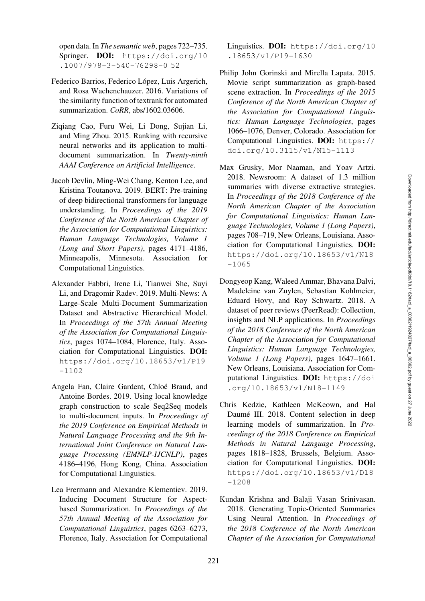open data. In *The semantic web*, pages 722–735. Springer. DOI: [https://doi.org/10](https://doi.org/10.1007/978-3-540-76298-0_52) [.1007/978-3-540-76298-0](https://doi.org/10.1007/978-3-540-76298-0_52) 52

- <span id="page-10-5"></span>Federico Barrios, Federico López, Luis Argerich, and Rosa Wachenchauzer. 2016. Variations of the similarity function of textrank for automated summarization. *CoRR*, abs/1602.03606.
- <span id="page-10-9"></span>Ziqiang Cao, Furu Wei, Li Dong, Sujian Li, and Ming Zhou. 2015. Ranking with recursive neural networks and its application to multidocument summarization. In *Twenty-ninth AAAI Conference on Artificial Intelligence*.
- <span id="page-10-7"></span>Jacob Devlin, Ming-Wei Chang, Kenton Lee, and Kristina Toutanova. 2019. BERT: Pre-training of deep bidirectional transformers for language understanding. In *Proceedings of the 2019 Conference of the North American Chapter of the Association for Computational Linguistics: Human Language Technologies, Volume 1 (Long and Short Papers)*, pages 4171–4186, Minneapolis, Minnesota. Association for Computational Linguistics.
- <span id="page-10-10"></span>Alexander Fabbri, Irene Li, Tianwei She, Suyi Li, and Dragomir Radev. 2019. Multi-News: A Large-Scale Multi-Document Summarization Dataset and Abstractive Hierarchical Model. In *Proceedings of the 57th Annual Meeting of the Association for Computational Linguistics*, pages 1074–1084, Florence, Italy. Association for Computational Linguistics. DOI: [https://doi.org/10.18653/v1/P19](https://doi.org/10.18653/v1/P19-1102) [-1102](https://doi.org/10.18653/v1/P19-1102)
- <span id="page-10-4"></span>Angela Fan, Claire Gardent, Chloé Braud, and Antoine Bordes. 2019. Using local knowledge graph construction to scale Seq2Seq models to multi-document inputs. In *Proceedings of the 2019 Conference on Empirical Methods in Natural Language Processing and the 9th International Joint Conference on Natural Language Processing (EMNLP-IJCNLP)*, pages 4186–4196, Hong Kong, China. Association for Computational Linguistics.
- <span id="page-10-6"></span>Lea Frermann and Alexandre Klementiev. 2019. Inducing Document Structure for Aspectbased Summarization. In *Proceedings of the 57th Annual Meeting of the Association for Computational Linguistics*, pages 6263–6273, Florence, Italy. Association for Computational

Linguistics. DOI: [https://doi.org/10](https://doi.org/10.18653/v1/P19-1630) [.18653/v1/P19-1630](https://doi.org/10.18653/v1/P19-1630)

- <span id="page-10-3"></span>Philip John Gorinski and Mirella Lapata. 2015. Movie script summarization as graph-based scene extraction. In *Proceedings of the 2015 Conference of the North American Chapter of the Association for Computational Linguistics: Human Language Technologies*, pages 1066–1076, Denver, Colorado. Association for Computational Linguistics. DOI: [https://](https://doi.org/10.3115/v1/N15-1113) [doi.org/10.3115/v1/N15-1113](https://doi.org/10.3115/v1/N15-1113)
- <span id="page-10-0"></span>Max Grusky, Mor Naaman, and Yoav Artzi. 2018. Newsroom: A dataset of 1.3 million summaries with diverse extractive strategies. In *Proceedings of the 2018 Conference of the North American Chapter of the Association for Computational Linguistics: Human Language Technologies, Volume 1 (Long Papers)*, pages 708–719, New Orleans, Louisiana. Association for Computational Linguistics. DOI: [https://doi.org/10.18653/v1/N18](https://doi.org/10.18653/v1/N18-1065) [-1065](https://doi.org/10.18653/v1/N18-1065)
- <span id="page-10-1"></span>Dongyeop Kang, Waleed Ammar, Bhavana Dalvi, Madeleine van Zuylen, Sebastian Kohlmeier, Eduard Hovy, and Roy Schwartz. 2018. A dataset of peer reviews (PeerRead): Collection, insights and NLP applications. In *Proceedings of the 2018 Conference of the North American Chapter of the Association for Computational Linguistics: Human Language Technologies, Volume 1 (Long Papers)*, pages 1647–1661. New Orleans, Louisiana. Association for Computational Linguistics. DOI: [https://doi](https://doi.org/10.18653/v1/N18-1149) [.org/10.18653/v1/N18-1149](https://doi.org/10.18653/v1/N18-1149)
- <span id="page-10-2"></span>Chris Kedzie, Kathleen McKeown, and Hal Daumé III. 2018. Content selection in deep learning models of summarization. In *Proceedings of the 2018 Conference on Empirical Methods in Natural Language Processing*, pages 1818–1828, Brussels, Belgium. Association for Computational Linguistics. DOI: [https://doi.org/10.18653/v1/D18](https://doi.org/10.18653/v1/D18-1208) [-1208](https://doi.org/10.18653/v1/D18-1208)
- <span id="page-10-8"></span>Kundan Krishna and Balaji Vasan Srinivasan. 2018. Generating Topic-Oriented Summaries Using Neural Attention. In *Proceedings of the 2018 Conference of the North American Chapter of the Association for Computational*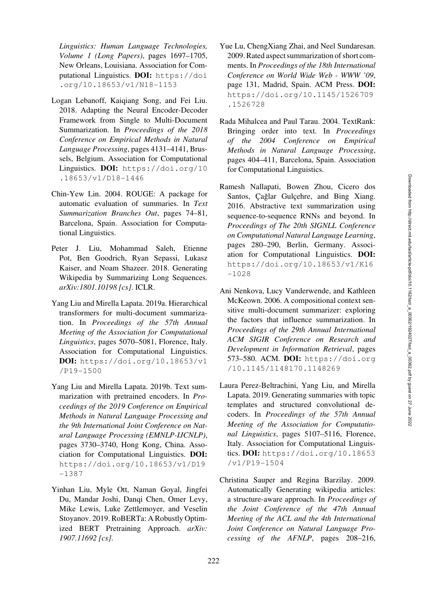*Linguistics: Human Language Technologies, Volume 1 (Long Papers)*, pages 1697–1705, New Orleans, Louisiana. Association for Computational Linguistics. DOI: [https://doi](https://doi.org/10.18653/v1/N18-1153) [.org/10.18653/v1/N18-1153](https://doi.org/10.18653/v1/N18-1153)

- <span id="page-11-11"></span>Logan Lebanoff, Kaiqiang Song, and Fei Liu. 2018. Adapting the Neural Encoder-Decoder Framework from Single to Multi-Document Summarization. In *Proceedings of the 2018 Conference on Empirical Methods in Natural Language Processing*, pages 4131–4141, Brussels, Belgium. Association for Computational Linguistics. DOI: [https://doi.org/10](https://doi.org/10.18653/v1/D18-1446) [.18653/v1/D18-1446](https://doi.org/10.18653/v1/D18-1446)
- <span id="page-11-8"></span>Chin-Yew Lin. 2004. ROUGE: A package for automatic evaluation of summaries. In *Text Summarization Branches Out*, pages 74–81, Barcelona, Spain. Association for Computational Linguistics.
- <span id="page-11-2"></span>Peter J. Liu, Mohammad Saleh, Etienne Pot, Ben Goodrich, Ryan Sepassi, Lukasz Kaiser, and Noam Shazeer. 2018. Generating Wikipedia by Summarizing Long Sequences. *arXiv:1801.10198 [cs]*. ICLR.
- <span id="page-11-3"></span>Yang Liu and Mirella Lapata. 2019a. Hierarchical transformers for multi-document summarization. In *Proceedings of the 57th Annual Meeting of the Association for Computational Linguistics*, pages 5070–5081, Florence, Italy. Association for Computational Linguistics. DOI: [https://doi.org/10.18653/v1](https://doi.org/10.18653/v1/P19-1500) [/P19-1500](https://doi.org/10.18653/v1/P19-1500)
- <span id="page-11-7"></span>Yang Liu and Mirella Lapata. 2019b. Text summarization with pretrained encoders. In *Proceedings of the 2019 Conference on Empirical Methods in Natural Language Processing and the 9th International Joint Conference on Natural Language Processing (EMNLP-IJCNLP)*, pages 3730–3740, Hong Kong, China. Association for Computational Linguistics. DOI: [https://doi.org/10.18653/v1/D19](https://doi.org/10.18653/v1/D19-1387) [-1387](https://doi.org/10.18653/v1/D19-1387)
- <span id="page-11-5"></span>Yinhan Liu, Myle Ott, Naman Goyal, Jingfei Du, Mandar Joshi, Danqi Chen, Omer Levy, Mike Lewis, Luke Zettlemoyer, and Veselin Stoyanov. 2019. RoBERTa: A Robustly Optimized BERT Pretraining Approach. *arXiv: 1907.11692 [cs]*.
- <span id="page-11-0"></span>Yue Lu, ChengXiang Zhai, and Neel Sundaresan. 2009. Rated aspect summarization of short comments. In *Proceedings of the 18th International Conference on World Wide Web - WWW '09*, page 131, Madrid, Spain. ACM Press. DOI: [https://doi.org/10.1145/1526709](https://doi.org/10.1145/1526709.1526728) [.1526728](https://doi.org/10.1145/1526709.1526728)
- <span id="page-11-6"></span>Rada Mihalcea and Paul Tarau. 2004. TextRank: Bringing order into text. In *Proceedings of the 2004 Conference on Empirical Methods in Natural Language Processing*, pages 404–411, Barcelona, Spain. Association for Computational Linguistics.
- <span id="page-11-1"></span>Ramesh Nallapati, Bowen Zhou, Cicero dos Santos, Cağlar Gulcehre, and Bing Xiang. 2016. Abstractive text summarization using sequence-to-sequence RNNs and beyond. In *Proceedings of The 20th SIGNLL Conference on Computational Natural Language Learning*, pages 280–290, Berlin, Germany. Association for Computational Linguistics. DOI: [https://doi.org/10.18653/v1/K16](https://doi.org/10.18653/v1/K16-1028) [-1028](https://doi.org/10.18653/v1/K16-1028)
- <span id="page-11-10"></span>Ani Nenkova, Lucy Vanderwende, and Kathleen McKeown. 2006. A compositional context sensitive multi-document summarizer: exploring the factors that influence summarization. In *Proceedings of the 29th Annual International ACM SIGIR Conference on Research and Development in Information Retrieval*, pages 573–580. ACM. DOI: [https://doi.org](https://doi.org/10.1145/1148170.1148269) [/10.1145/1148170.1148269](https://doi.org/10.1145/1148170.1148269)
- <span id="page-11-4"></span>Laura Perez-Beltrachini, Yang Liu, and Mirella Lapata. 2019. Generating summaries with topic templates and structured convolutional decoders. In *Proceedings of the 57th Annual Meeting of the Association for Computational Linguistics*, pages 5107–5116, Florence, Italy. Association for Computational Linguistics. DOI: [https://doi.org/10.18653](https://doi.org/10.18653/v1/P19-1504) [/v1/P19-1504](https://doi.org/10.18653/v1/P19-1504)
- <span id="page-11-9"></span>Christina Sauper and Regina Barzilay. 2009. Automatically Generating wikipedia articles: a structure-aware approach. In *Proceedings of the Joint Conference of the 47th Annual Meeting of the ACL and the 4th International Joint Conference on Natural Language Processing of the AFNLP*, pages 208–216,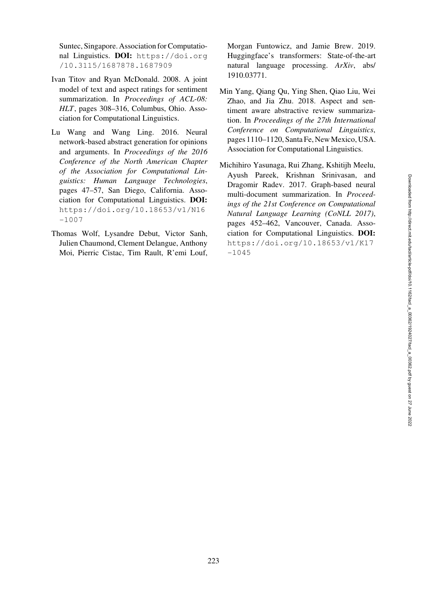Suntec, Singapore. Association for Computational Linguistics. DOI: [https://doi.org](https://doi.org/10.3115/1687878.1687909) [/10.3115/1687878.1687909](https://doi.org/10.3115/1687878.1687909)

- <span id="page-12-0"></span>Ivan Titov and Ryan McDonald. 2008. A joint model of text and aspect ratings for sentiment summarization. In *Proceedings of ACL-08: HLT*, pages 308–316, Columbus, Ohio. Association for Computational Linguistics.
- <span id="page-12-1"></span>Lu Wang and Wang Ling. 2016. Neural network-based abstract generation for opinions and arguments. In *Proceedings of the 2016 Conference of the North American Chapter of the Association for Computational Linguistics: Human Language Technologies*, pages 47–57, San Diego, California. Association for Computational Linguistics. DOI: [https://doi.org/10.18653/v1/N16](https://doi.org/10.18653/v1/N16-1007) [-1007](https://doi.org/10.18653/v1/N16-1007)
- <span id="page-12-3"></span>Thomas Wolf, Lysandre Debut, Victor Sanh, Julien Chaumond, Clement Delangue, Anthony Moi, Pierric Cistac, Tim Rault, R'emi Louf,

Morgan Funtowicz, and Jamie Brew. 2019. Huggingface's transformers: State-of-the-art natural language processing. *ArXiv*, abs/ 1910.03771.

- <span id="page-12-2"></span>Min Yang, Qiang Qu, Ying Shen, Qiao Liu, Wei Zhao, and Jia Zhu. 2018. Aspect and sentiment aware abstractive review summarization. In *Proceedings of the 27th International Conference on Computational Linguistics*, pages 1110–1120, Santa Fe, New Mexico, USA. Association for Computational Linguistics.
- <span id="page-12-5"></span><span id="page-12-4"></span>Michihiro Yasunaga, Rui Zhang, Kshitijh Meelu, Ayush Pareek, Krishnan Srinivasan, and Dragomir Radev. 2017. Graph-based neural multi-document summarization. In *Proceedings of the 21st Conference on Computational Natural Language Learning (CoNLL 2017)*, pages 452–462, Vancouver, Canada. Association for Computational Linguistics. DOI: [https://doi.org/10.18653/v1/K17](https://doi.org/10.18653/v1/K17-1045) [-1045](https://doi.org/10.18653/v1/K17-1045)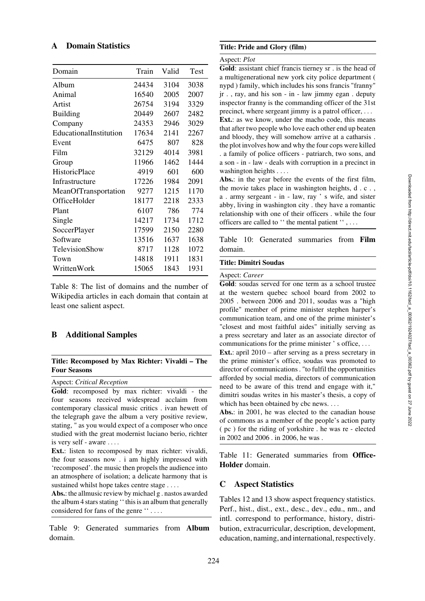# <span id="page-13-1"></span>A Domain Statistics

| Domain                 | Train | Valid | Test |
|------------------------|-------|-------|------|
| Album                  | 24434 | 3104  | 3038 |
| Animal                 | 16540 | 2005  | 2007 |
| Artist                 | 26754 | 3194  | 3329 |
| <b>Building</b>        | 20449 | 2607  | 2482 |
| Company                | 24353 | 2946  | 3029 |
| EducationalInstitution | 17634 | 2141  | 2267 |
| Event                  | 6475  | 807   | 828  |
| Film                   | 32129 | 4014  | 3981 |
| Group                  | 11966 | 1462  | 1444 |
| <b>HistoricPlace</b>   | 4919  | 601   | 600  |
| Infrastructure         | 17226 | 1984  | 2091 |
| MeanOfTransportation   | 9277  | 1215  | 1170 |
| OfficeHolder           | 18177 | 2218  | 2333 |
| Plant                  | 6107  | 786   | 774  |
| Single                 | 14217 | 1734  | 1712 |
| SoccerPlayer           | 17599 | 2150  | 2280 |
| Software               | 13516 | 1637  | 1638 |
| TelevisionShow         | 8717  | 1128  | 1072 |
| Town                   | 14818 | 1911  | 1831 |
| WrittenWork            | 15065 | 1843  | 1931 |
|                        |       |       |      |

Table 8: The list of domains and the number of Wikipedia articles in each domain that contain at least one salient aspect.

# <span id="page-13-2"></span>B Additional Samples

#### Title: Recomposed by Max Richter: Vivaldi – The Four Seasons

Aspect: *Critical Reception*

Gold: recomposed by max richter: vivaldi - the four seasons received widespread acclaim from contemporary classical music critics . ivan hewett of the telegraph gave the album a very positive review, stating, " as you would expect of a composer who once studied with the great modernist luciano berio, richter is very self - aware ....

Ext.: listen to recomposed by max richter: vivaldi, the four seasons now . i am highly impressed with 'recomposed'. the music then propels the audience into an atmosphere of isolation; a delicate harmony that is sustained whilst hope takes centre stage . . . .

Abs.: the allmusic review by michael g . nastos awarded the album 4 stars stating '' this is an album that generally considered for fans of the genre '' . ...

Table 9: Generated summaries from Album domain.

### Title: Pride and Glory (film)

#### Aspect: *Plot*

Gold: assistant chief francis tierney sr . is the head of a multigenerational new york city police department ( nypd ) family, which includes his sons francis "franny" jr . , ray, and his son - in - law jimmy egan . deputy inspector franny is the commanding officer of the 31st precinct, where sergeant jimmy is a patrol officer, ... Ext.: as we know, under the macho code, this means that after two people who love each other end up beaten and bloody, they will somehow arrive at a catharsis . the plot involves how and why the four cops were killed . a family of police officers - patriarch, two sons, and a son - in - law - deals with corruption in a precinct in

washington heights . ... Abs.: in the year before the events of the first film, the movie takes place in washington heights, d . c . , a . army sergeant - in - law, ray ' s wife, and sister abby, living in washington city . they have a romantic relationship with one of their officers . while the four officers are called to '' the mental patient '' , ...

Table 10: Generated summaries from Film domain.

#### Title: Dimitri Soudas

#### Aspect: *Career*

Gold: soudas served for one term as a school trustee at the western quebec school board from 2002 to 2005 . between 2006 and 2011, soudas was a "high profile" member of prime minister stephen harper's communication team, and one of the prime minister's "closest and most faithful aides" initially serving as a press secretary and later as an associate director of communications for the prime minister ' s office, ...

Ext.: april 2010 – after serving as a press secretary in the prime minister's office, soudas was promoted to director of communications . "to fulfil the opportunities afforded by social media, directors of communication need to be aware of this trend and engage with it," dimitri soudas writes in his master's thesis, a copy of which has been obtained by cbc news. ...

Abs.: in 2001, he was elected to the canadian house of commons as a member of the people's action party ( pc ) for the riding of yorkshire . he was re - elected in 2002 and 2006 . in 2006, he was .

Table 11: Generated summaries from Office-Holder domain.

#### <span id="page-13-0"></span>C Aspect Statistics

[Tables 12](#page-14-0) and [13](#page-14-1) show aspect frequency statistics. Perf., hist., dist., ext., desc., dev., edu., nm., and intl. correspond to performance, history, distribution, extracurricular, description, development, education, naming, and international, respectively.